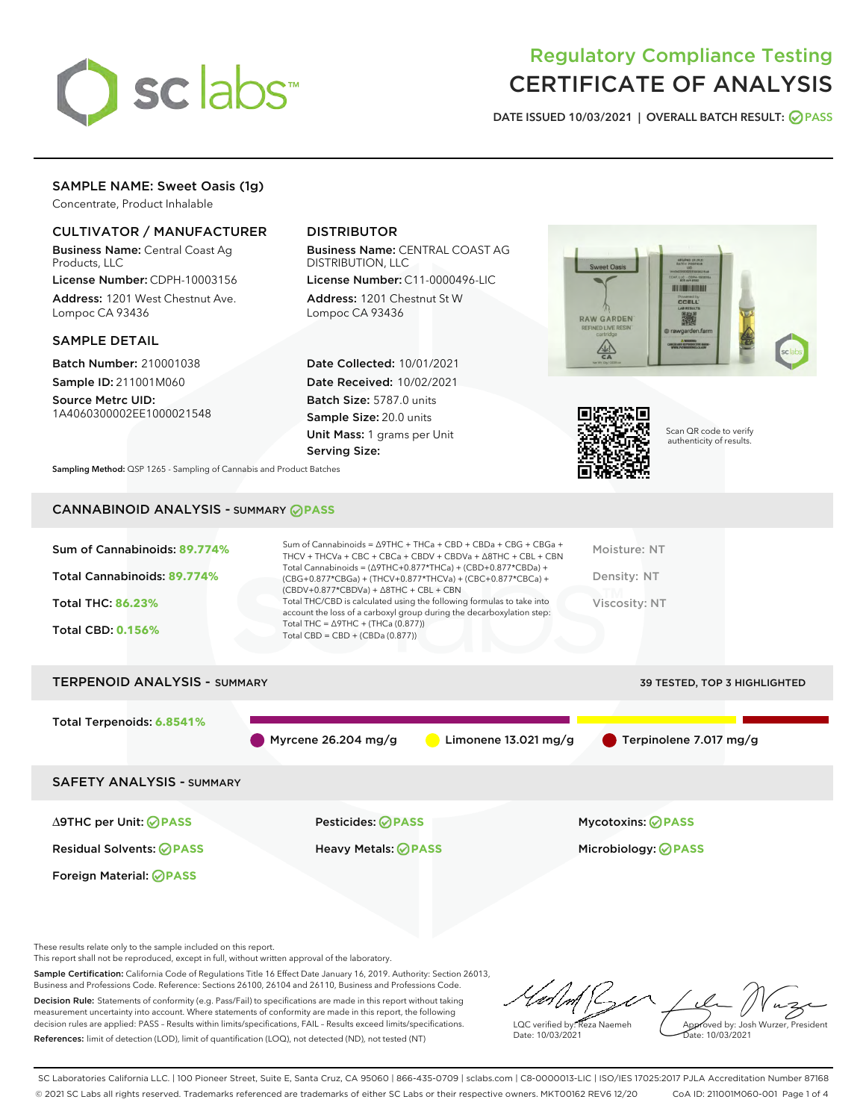

# Regulatory Compliance Testing CERTIFICATE OF ANALYSIS

DATE ISSUED 10/03/2021 | OVERALL BATCH RESULT: @ PASS

## SAMPLE NAME: Sweet Oasis (1g)

Concentrate, Product Inhalable

## CULTIVATOR / MANUFACTURER

Business Name: Central Coast Ag Products, LLC

License Number: CDPH-10003156 Address: 1201 West Chestnut Ave. Lompoc CA 93436

#### SAMPLE DETAIL

Batch Number: 210001038 Sample ID: 211001M060

Source Metrc UID: 1A4060300002EE1000021548

## DISTRIBUTOR

Business Name: CENTRAL COAST AG DISTRIBUTION, LLC

License Number: C11-0000496-LIC Address: 1201 Chestnut St W Lompoc CA 93436

Date Collected: 10/01/2021 Date Received: 10/02/2021 Batch Size: 5787.0 units Sample Size: 20.0 units Unit Mass: 1 grams per Unit Serving Size:





Scan QR code to verify authenticity of results.

Sampling Method: QSP 1265 - Sampling of Cannabis and Product Batches

## CANNABINOID ANALYSIS - SUMMARY **PASS**

| Sum of Cannabinoids: 89.774%<br>Total Cannabinoids: 89.774%<br><b>Total THC: 86.23%</b><br><b>Total CBD: 0.156%</b> | Sum of Cannabinoids = $\triangle$ 9THC + THCa + CBD + CBDa + CBG + CBGa +<br>THCV + THCVa + CBC + CBCa + CBDV + CBDVa + $\land$ 8THC + CBL + CBN<br>Total Cannabinoids = $(\Delta$ 9THC+0.877*THCa) + (CBD+0.877*CBDa) +<br>(CBG+0.877*CBGa) + (THCV+0.877*THCVa) + (CBC+0.877*CBCa) +<br>$(CBDV+0.877*CBDVa) + \Delta 8THC + CBL + CBN$<br>Total THC/CBD is calculated using the following formulas to take into<br>account the loss of a carboxyl group during the decarboxylation step:<br>Total THC = $\triangle$ 9THC + (THCa (0.877))<br>Total CBD = $CBD + (CBDa (0.877))$ | Moisture: NT<br>Density: NT<br>Viscosity: NT |
|---------------------------------------------------------------------------------------------------------------------|-----------------------------------------------------------------------------------------------------------------------------------------------------------------------------------------------------------------------------------------------------------------------------------------------------------------------------------------------------------------------------------------------------------------------------------------------------------------------------------------------------------------------------------------------------------------------------------|----------------------------------------------|
| <b>TERPENOID ANALYSIS - SUMMARY</b>                                                                                 |                                                                                                                                                                                                                                                                                                                                                                                                                                                                                                                                                                                   | <b>39 TESTED, TOP 3 HIGHLIGHTED</b>          |
| Total Terpenoids: 6.8541%                                                                                           | Myrcene $26.204$ mg/g<br>Limonene $13.021 \,\mathrm{mg/g}$                                                                                                                                                                                                                                                                                                                                                                                                                                                                                                                        | Terpinolene 7.017 mg/g                       |
| <b>SAFETY ANALYSIS - SUMMARY</b>                                                                                    |                                                                                                                                                                                                                                                                                                                                                                                                                                                                                                                                                                                   |                                              |
| ∆9THC per Unit: ⊘PASS                                                                                               | <b>Pesticides: ⊘ PASS</b>                                                                                                                                                                                                                                                                                                                                                                                                                                                                                                                                                         | <b>Mycotoxins: ⊘PASS</b>                     |

Residual Solvents: **PASS** Heavy Metals: **PASS** Microbiology: **PASS** Foreign Material: **PASS**

These results relate only to the sample included on this report.

This report shall not be reproduced, except in full, without written approval of the laboratory.

Sample Certification: California Code of Regulations Title 16 Effect Date January 16, 2019. Authority: Section 26013, Business and Professions Code. Reference: Sections 26100, 26104 and 26110, Business and Professions Code. Decision Rule: Statements of conformity (e.g. Pass/Fail) to specifications are made in this report without taking measurement uncertainty into account. Where statements of conformity are made in this report, the following

decision rules are applied: PASS – Results within limits/specifications, FAIL – Results exceed limits/specifications. References: limit of detection (LOD), limit of quantification (LOQ), not detected (ND), not tested (NT)

LQC verified by: Reza Naemeh Date: 10/03/2021 Approved by: Josh Wurzer, President ate: 10/03/2021

SC Laboratories California LLC. | 100 Pioneer Street, Suite E, Santa Cruz, CA 95060 | 866-435-0709 | sclabs.com | C8-0000013-LIC | ISO/IES 17025:2017 PJLA Accreditation Number 87168 © 2021 SC Labs all rights reserved. Trademarks referenced are trademarks of either SC Labs or their respective owners. MKT00162 REV6 12/20 CoA ID: 211001M060-001 Page 1 of 4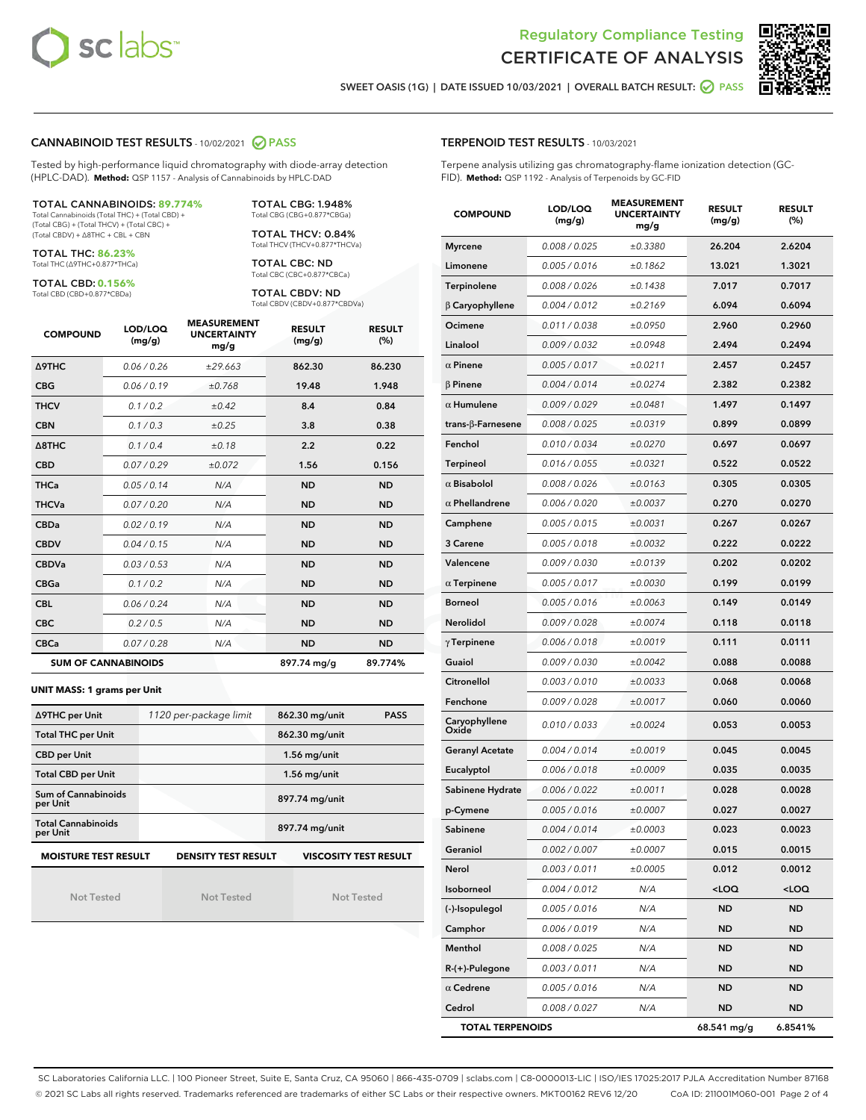



SWEET OASIS (1G) | DATE ISSUED 10/03/2021 | OVERALL BATCH RESULT: @ PASS

#### CANNABINOID TEST RESULTS - 10/02/2021 2 PASS

Tested by high-performance liquid chromatography with diode-array detection (HPLC-DAD). **Method:** QSP 1157 - Analysis of Cannabinoids by HPLC-DAD

#### TOTAL CANNABINOIDS: **89.774%**

Total Cannabinoids (Total THC) + (Total CBD) + (Total CBG) + (Total THCV) + (Total CBC) + (Total CBDV) + ∆8THC + CBL + CBN

TOTAL THC: **86.23%** Total THC (∆9THC+0.877\*THCa)

TOTAL CBD: **0.156%**

Total CBD (CBD+0.877\*CBDa)

TOTAL CBG: 1.948% Total CBG (CBG+0.877\*CBGa)

TOTAL THCV: 0.84% Total THCV (THCV+0.877\*THCVa)

TOTAL CBC: ND Total CBC (CBC+0.877\*CBCa)

TOTAL CBDV: ND Total CBDV (CBDV+0.877\*CBDVa)

| <b>COMPOUND</b>  | LOD/LOQ<br>(mg/g)          | <b>MEASUREMENT</b><br><b>UNCERTAINTY</b><br>mg/g | <b>RESULT</b><br>(mg/g) | <b>RESULT</b><br>(%) |
|------------------|----------------------------|--------------------------------------------------|-------------------------|----------------------|
| Δ9THC            | 0.06 / 0.26                | ±29.663                                          | 862.30                  | 86.230               |
| <b>CBG</b>       | 0.06 / 0.19                | ±0.768                                           | 19.48                   | 1.948                |
| <b>THCV</b>      | 0.1/0.2                    | ±0.42                                            | 8.4                     | 0.84                 |
| <b>CBN</b>       | 0.1/0.3                    | ±0.25                                            | 3.8                     | 0.38                 |
| $\triangle$ 8THC | 0.1/0.4                    | ±0.18                                            | 2.2                     | 0.22                 |
| <b>CBD</b>       | 0.07/0.29                  | ±0.072                                           | 1.56                    | 0.156                |
| <b>THCa</b>      | 0.05/0.14                  | N/A                                              | <b>ND</b>               | <b>ND</b>            |
| <b>THCVa</b>     | 0.07/0.20                  | N/A                                              | <b>ND</b>               | <b>ND</b>            |
| <b>CBDa</b>      | 0.02/0.19                  | N/A                                              | <b>ND</b>               | <b>ND</b>            |
| <b>CBDV</b>      | 0.04 / 0.15                | N/A                                              | <b>ND</b>               | <b>ND</b>            |
| <b>CBDVa</b>     | 0.03/0.53                  | N/A                                              | <b>ND</b>               | <b>ND</b>            |
| <b>CBGa</b>      | 0.1 / 0.2                  | N/A                                              | <b>ND</b>               | <b>ND</b>            |
| <b>CBL</b>       | 0.06 / 0.24                | N/A                                              | <b>ND</b>               | <b>ND</b>            |
| <b>CBC</b>       | 0.2 / 0.5                  | N/A                                              | <b>ND</b>               | <b>ND</b>            |
| <b>CBCa</b>      | 0.07/0.28                  | N/A                                              | <b>ND</b>               | <b>ND</b>            |
|                  | <b>SUM OF CANNABINOIDS</b> |                                                  | 897.74 mg/g             | 89.774%              |

#### **UNIT MASS: 1 grams per Unit**

| ∆9THC per Unit                                                                            | 1120 per-package limit | 862.30 mg/unit<br>PASS |  |  |  |
|-------------------------------------------------------------------------------------------|------------------------|------------------------|--|--|--|
| <b>Total THC per Unit</b>                                                                 |                        | 862.30 mg/unit         |  |  |  |
| <b>CBD per Unit</b>                                                                       |                        | $1.56$ mg/unit         |  |  |  |
| <b>Total CBD per Unit</b>                                                                 |                        | $1.56$ mg/unit         |  |  |  |
| Sum of Cannabinoids<br>per Unit                                                           |                        | 897.74 mg/unit         |  |  |  |
| <b>Total Cannabinoids</b><br>per Unit                                                     |                        | 897.74 mg/unit         |  |  |  |
| <b>MOISTURE TEST RESULT</b><br><b>DENSITY TEST RESULT</b><br><b>VISCOSITY TEST RESULT</b> |                        |                        |  |  |  |

Not Tested

Not Tested

Not Tested

## TERPENOID TEST RESULTS - 10/03/2021

Terpene analysis utilizing gas chromatography-flame ionization detection (GC-FID). **Method:** QSP 1192 - Analysis of Terpenoids by GC-FID

| <b>COMPOUND</b>          | LOD/LOQ<br>(mg/g) | <b>MEASUREMENT</b><br><b>UNCERTAINTY</b><br>mg/g | <b>RESULT</b><br>(mg/g)                         | <b>RESULT</b><br>$(\%)$ |
|--------------------------|-------------------|--------------------------------------------------|-------------------------------------------------|-------------------------|
| <b>Myrcene</b>           | 0.008 / 0.025     | ±0.3380                                          | 26.204                                          | 2.6204                  |
| Limonene                 | 0.005 / 0.016     | ±0.1862                                          | 13.021                                          | 1.3021                  |
| Terpinolene              | 0.008 / 0.026     | ±0.1438                                          | 7.017                                           | 0.7017                  |
| $\beta$ Caryophyllene    | 0.004 / 0.012     | ±0.2169                                          | 6.094                                           | 0.6094                  |
| Ocimene                  | 0.011 / 0.038     | ±0.0950                                          | 2.960                                           | 0.2960                  |
| Linalool                 | 0.009/0.032       | ±0.0948                                          | 2.494                                           | 0.2494                  |
| $\alpha$ Pinene          | 0.005 / 0.017     | ±0.0211                                          | 2.457                                           | 0.2457                  |
| $\beta$ Pinene           | 0.004 / 0.014     | ±0.0274                                          | 2.382                                           | 0.2382                  |
| $\alpha$ Humulene        | 0.009/0.029       | ±0.0481                                          | 1.497                                           | 0.1497                  |
| $trans-\beta$ -Farnesene | 0.008 / 0.025     | ±0.0319                                          | 0.899                                           | 0.0899                  |
| Fenchol                  | 0.010 / 0.034     | ±0.0270                                          | 0.697                                           | 0.0697                  |
| <b>Terpineol</b>         | 0.016 / 0.055     | ±0.0321                                          | 0.522                                           | 0.0522                  |
| $\alpha$ Bisabolol       | 0.008 / 0.026     | ±0.0163                                          | 0.305                                           | 0.0305                  |
| $\alpha$ Phellandrene    | 0.006 / 0.020     | ±0.0037                                          | 0.270                                           | 0.0270                  |
| Camphene                 | 0.005 / 0.015     | ±0.0031                                          | 0.267                                           | 0.0267                  |
| 3 Carene                 | 0.005 / 0.018     | ±0.0032                                          | 0.222                                           | 0.0222                  |
| Valencene                | 0.009 / 0.030     | ±0.0139                                          | 0.202                                           | 0.0202                  |
| $\alpha$ Terpinene       | 0.005 / 0.017     | ±0.0030                                          | 0.199                                           | 0.0199                  |
| <b>Borneol</b>           | 0.005 / 0.016     | ±0.0063                                          | 0.149                                           | 0.0149                  |
| Nerolidol                | 0.009 / 0.028     | ±0.0074                                          | 0.118                                           | 0.0118                  |
| $\gamma$ Terpinene       | 0.006 / 0.018     | ±0.0019                                          | 0.111                                           | 0.0111                  |
| Guaiol                   | 0.009 / 0.030     | ±0.0042                                          | 0.088                                           | 0.0088                  |
| Citronellol              | 0.003 / 0.010     | ±0.0033                                          | 0.068                                           | 0.0068                  |
| Fenchone                 | 0.009 / 0.028     | ±0.0017                                          | 0.060                                           | 0.0060                  |
| Caryophyllene<br>Oxide   | 0.010 / 0.033     | ±0.0024                                          | 0.053                                           | 0.0053                  |
| Geranyl Acetate          | 0.004 / 0.014     | ±0.0019                                          | 0.045                                           | 0.0045                  |
| Eucalyptol               | 0.006 / 0.018     | ±0.0009                                          | 0.035                                           | 0.0035                  |
| Sabinene Hydrate         | 0.006 / 0.022     | ±0.0011                                          | 0.028                                           | 0.0028                  |
| p-Cymene                 | 0.005 / 0.016     | ±0.0007                                          | 0.027                                           | 0.0027                  |
| Sabinene                 | 0.004 / 0.014     | ±0.0003                                          | 0.023                                           | 0.0023                  |
| Geraniol                 | 0.002 / 0.007     | ±0.0007                                          | 0.015                                           | 0.0015                  |
| Nerol                    | 0.003 / 0.011     | ±0.0005                                          | 0.012                                           | 0.0012                  |
| Isoborneol               | 0.004 / 0.012     | N/A                                              | <loq< th=""><th><loq< th=""></loq<></th></loq<> | <loq< th=""></loq<>     |
| (-)-Isopulegol           | 0.005 / 0.016     | N/A                                              | ND                                              | ND                      |
| Camphor                  | 0.006 / 0.019     | N/A                                              | ND                                              | ND                      |
| Menthol                  | 0.008 / 0.025     | N/A                                              | ND                                              | ND                      |
| R-(+)-Pulegone           | 0.003 / 0.011     | N/A                                              | ND                                              | ND                      |
| $\alpha$ Cedrene         | 0.005 / 0.016     | N/A                                              | ND                                              | ND                      |
| Cedrol                   | 0.008 / 0.027     | N/A                                              | ND                                              | ND                      |
| <b>TOTAL TERPENOIDS</b>  |                   |                                                  | 68.541 mg/g                                     | 6.8541%                 |

SC Laboratories California LLC. | 100 Pioneer Street, Suite E, Santa Cruz, CA 95060 | 866-435-0709 | sclabs.com | C8-0000013-LIC | ISO/IES 17025:2017 PJLA Accreditation Number 87168 © 2021 SC Labs all rights reserved. Trademarks referenced are trademarks of either SC Labs or their respective owners. MKT00162 REV6 12/20 CoA ID: 211001M060-001 Page 2 of 4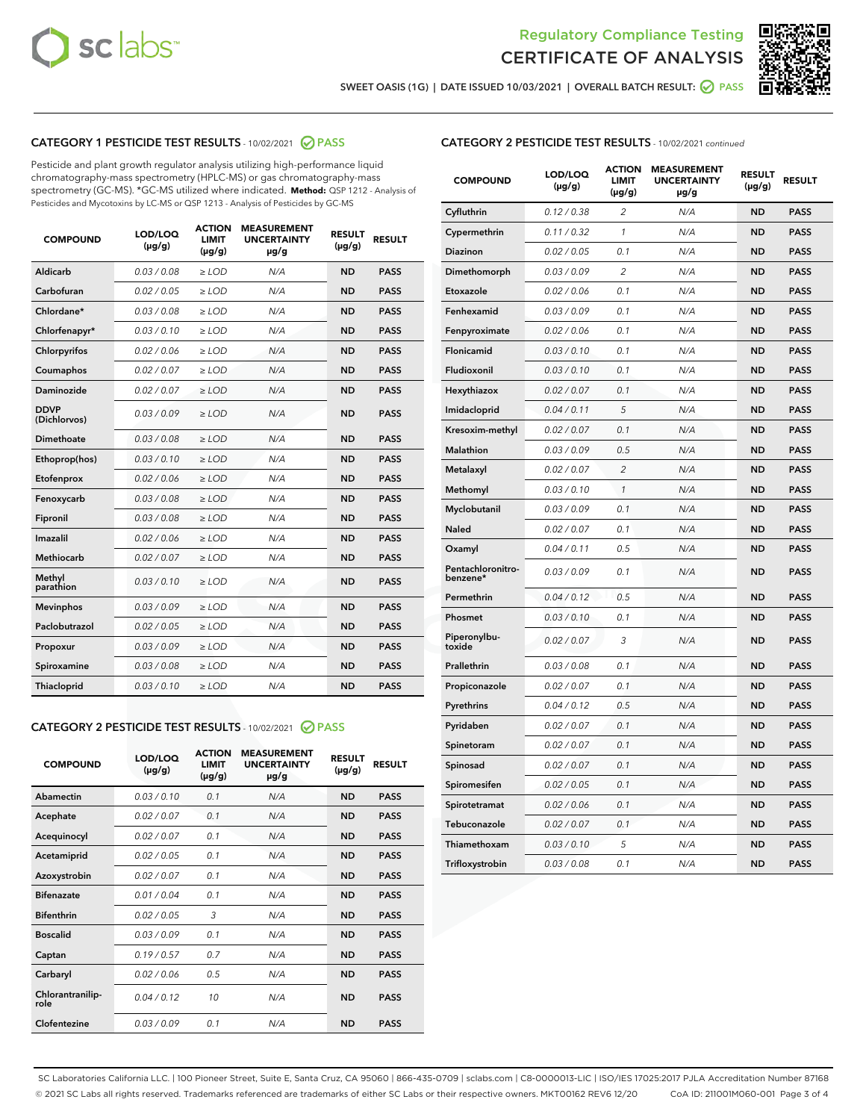



SWEET OASIS (1G) | DATE ISSUED 10/03/2021 | OVERALL BATCH RESULT: 2 PASS

## CATEGORY 1 PESTICIDE TEST RESULTS - 10/02/2021 2 PASS

Pesticide and plant growth regulator analysis utilizing high-performance liquid chromatography-mass spectrometry (HPLC-MS) or gas chromatography-mass spectrometry (GC-MS). \*GC-MS utilized where indicated. **Method:** QSP 1212 - Analysis of Pesticides and Mycotoxins by LC-MS or QSP 1213 - Analysis of Pesticides by GC-MS

| <b>COMPOUND</b>             | LOD/LOQ<br>$(\mu g/g)$ | <b>ACTION</b><br><b>LIMIT</b><br>$(\mu g/g)$ | <b>MEASUREMENT</b><br><b>UNCERTAINTY</b><br>µg/g | <b>RESULT</b><br>$(\mu g/g)$ | <b>RESULT</b> |
|-----------------------------|------------------------|----------------------------------------------|--------------------------------------------------|------------------------------|---------------|
| Aldicarb                    | 0.03/0.08              | $>$ LOD                                      | N/A                                              | <b>ND</b>                    | <b>PASS</b>   |
| Carbofuran                  | 0.02 / 0.05            | $\ge$ LOD                                    | N/A                                              | <b>ND</b>                    | <b>PASS</b>   |
| Chlordane*                  | 0.03/0.08              | $>$ LOD                                      | N/A                                              | <b>ND</b>                    | <b>PASS</b>   |
| Chlorfenapyr*               | 0.03 / 0.10            | $\ge$ LOD                                    | N/A                                              | <b>ND</b>                    | <b>PASS</b>   |
| Chlorpyrifos                | 0.02 / 0.06            | $\ge$ LOD                                    | N/A                                              | <b>ND</b>                    | <b>PASS</b>   |
| Coumaphos                   | 0.02 / 0.07            | $\ge$ LOD                                    | N/A                                              | <b>ND</b>                    | <b>PASS</b>   |
| Daminozide                  | 0.02 / 0.07            | $\ge$ LOD                                    | N/A                                              | <b>ND</b>                    | <b>PASS</b>   |
| <b>DDVP</b><br>(Dichlorvos) | 0.03/0.09              | $\ge$ LOD                                    | N/A                                              | <b>ND</b>                    | <b>PASS</b>   |
| <b>Dimethoate</b>           | 0.03/0.08              | $\ge$ LOD                                    | N/A                                              | <b>ND</b>                    | <b>PASS</b>   |
| Ethoprop(hos)               | 0.03/0.10              | $\ge$ LOD                                    | N/A                                              | <b>ND</b>                    | <b>PASS</b>   |
| Etofenprox                  | 0.02 / 0.06            | $\ge$ LOD                                    | N/A                                              | <b>ND</b>                    | <b>PASS</b>   |
| Fenoxycarb                  | 0.03 / 0.08            | $\ge$ LOD                                    | N/A                                              | <b>ND</b>                    | <b>PASS</b>   |
| Fipronil                    | 0.03/0.08              | $>$ LOD                                      | N/A                                              | <b>ND</b>                    | <b>PASS</b>   |
| Imazalil                    | 0.02 / 0.06            | $\ge$ LOD                                    | N/A                                              | <b>ND</b>                    | <b>PASS</b>   |
| Methiocarb                  | 0.02 / 0.07            | $\ge$ LOD                                    | N/A                                              | <b>ND</b>                    | <b>PASS</b>   |
| Methyl<br>parathion         | 0.03/0.10              | $\ge$ LOD                                    | N/A                                              | <b>ND</b>                    | <b>PASS</b>   |
| <b>Mevinphos</b>            | 0.03/0.09              | $\ge$ LOD                                    | N/A                                              | <b>ND</b>                    | <b>PASS</b>   |
| Paclobutrazol               | 0.02 / 0.05            | $>$ LOD                                      | N/A                                              | <b>ND</b>                    | <b>PASS</b>   |
| Propoxur                    | 0.03/0.09              | $\ge$ LOD                                    | N/A                                              | <b>ND</b>                    | <b>PASS</b>   |
| Spiroxamine                 | 0.03 / 0.08            | $\ge$ LOD                                    | N/A                                              | <b>ND</b>                    | <b>PASS</b>   |
| Thiacloprid                 | 0.03/0.10              | $\ge$ LOD                                    | N/A                                              | <b>ND</b>                    | <b>PASS</b>   |

#### CATEGORY 2 PESTICIDE TEST RESULTS - 10/02/2021 @ PASS

| <b>COMPOUND</b>          | LOD/LOO<br>$(\mu g/g)$ | <b>ACTION</b><br>LIMIT<br>$(\mu g/g)$ | <b>MEASUREMENT</b><br><b>UNCERTAINTY</b><br>µg/g | <b>RESULT</b><br>$(\mu g/g)$ | <b>RESULT</b> |  |
|--------------------------|------------------------|---------------------------------------|--------------------------------------------------|------------------------------|---------------|--|
| Abamectin                | 0.03/0.10              | 0.1                                   | N/A                                              | <b>ND</b>                    | <b>PASS</b>   |  |
| Acephate                 | 0.02/0.07              | 0.1                                   | N/A                                              | <b>ND</b>                    | <b>PASS</b>   |  |
| Acequinocyl              | 0.02/0.07              | 0.1                                   | N/A                                              | <b>ND</b>                    | <b>PASS</b>   |  |
| Acetamiprid              | 0.02/0.05              | 0.1                                   | N/A                                              | <b>ND</b>                    | <b>PASS</b>   |  |
| Azoxystrobin             | 0.02/0.07              | 0.1                                   | N/A                                              | <b>ND</b>                    | <b>PASS</b>   |  |
| <b>Bifenazate</b>        | 0.01 / 0.04            | 0.1                                   | N/A                                              | <b>ND</b>                    | <b>PASS</b>   |  |
| <b>Bifenthrin</b>        | 0.02/0.05              | 3                                     | N/A                                              | <b>ND</b>                    | <b>PASS</b>   |  |
| <b>Boscalid</b>          | 0.03/0.09              | 0.1                                   | N/A                                              | <b>ND</b>                    | <b>PASS</b>   |  |
| Captan                   | 0.19/0.57              | 0.7                                   | N/A                                              | <b>ND</b>                    | <b>PASS</b>   |  |
| Carbaryl                 | 0.02/0.06              | 0.5                                   | N/A                                              | <b>ND</b>                    | <b>PASS</b>   |  |
| Chlorantranilip-<br>role | 0.04/0.12              | 10                                    | N/A                                              | <b>ND</b>                    | <b>PASS</b>   |  |
| Clofentezine             | 0.03/0.09              | 0.1                                   | N/A                                              | <b>ND</b>                    | <b>PASS</b>   |  |

#### CATEGORY 2 PESTICIDE TEST RESULTS - 10/02/2021 continued

| <b>COMPOUND</b>               | LOD/LOQ<br>(µg/g) | <b>ACTION</b><br>LIMIT<br>$(\mu g/g)$ | <b>MEASUREMENT</b><br><b>UNCERTAINTY</b><br>µg/g | <b>RESULT</b><br>(µg/g) | <b>RESULT</b> |
|-------------------------------|-------------------|---------------------------------------|--------------------------------------------------|-------------------------|---------------|
| Cyfluthrin                    | 0.12 / 0.38       | $\overline{c}$                        | N/A                                              | ND                      | <b>PASS</b>   |
| Cypermethrin                  | 0.11 / 0.32       | $\mathcal{I}$                         | N/A                                              | ND                      | PASS          |
| <b>Diazinon</b>               | 0.02 / 0.05       | 0.1                                   | N/A                                              | <b>ND</b>               | <b>PASS</b>   |
| Dimethomorph                  | 0.03 / 0.09       | 2                                     | N/A                                              | ND                      | PASS          |
| Etoxazole                     | 0.02 / 0.06       | 0.1                                   | N/A                                              | ND                      | <b>PASS</b>   |
| Fenhexamid                    | 0.03 / 0.09       | 0.1                                   | N/A                                              | ND                      | <b>PASS</b>   |
| Fenpyroximate                 | 0.02 / 0.06       | 0.1                                   | N/A                                              | <b>ND</b>               | <b>PASS</b>   |
| Flonicamid                    | 0.03 / 0.10       | 0.1                                   | N/A                                              | ND                      | <b>PASS</b>   |
| Fludioxonil                   | 0.03 / 0.10       | 0.1                                   | N/A                                              | ND                      | <b>PASS</b>   |
| Hexythiazox                   | 0.02 / 0.07       | 0.1                                   | N/A                                              | ND                      | <b>PASS</b>   |
| Imidacloprid                  | 0.04 / 0.11       | 5                                     | N/A                                              | ND                      | <b>PASS</b>   |
| Kresoxim-methyl               | 0.02 / 0.07       | 0.1                                   | N/A                                              | ND                      | <b>PASS</b>   |
| Malathion                     | 0.03 / 0.09       | 0.5                                   | N/A                                              | ND                      | <b>PASS</b>   |
| Metalaxyl                     | 0.02 / 0.07       | $\overline{c}$                        | N/A                                              | ND                      | <b>PASS</b>   |
| Methomyl                      | 0.03 / 0.10       | $\mathbf{1}$                          | N/A                                              | ND                      | <b>PASS</b>   |
| Myclobutanil                  | 0.03 / 0.09       | 0.1                                   | N/A                                              | <b>ND</b>               | <b>PASS</b>   |
| Naled                         | 0.02 / 0.07       | 0.1                                   | N/A                                              | ND                      | <b>PASS</b>   |
| Oxamyl                        | 0.04 / 0.11       | 0.5                                   | N/A                                              | ND                      | PASS          |
| Pentachloronitro-<br>benzene* | 0.03 / 0.09       | 0.1                                   | N/A                                              | ND                      | <b>PASS</b>   |
| Permethrin                    | 0.04 / 0.12       | 0.5                                   | N/A                                              | ND                      | <b>PASS</b>   |
| Phosmet                       | 0.03 / 0.10       | 0.1                                   | N/A                                              | ND                      | <b>PASS</b>   |
| Piperonylbu-<br>toxide        | 0.02 / 0.07       | 3                                     | N/A                                              | <b>ND</b>               | <b>PASS</b>   |
| Prallethrin                   | 0.03 / 0.08       | 0.1                                   | N/A                                              | ND                      | <b>PASS</b>   |
| Propiconazole                 | 0.02 / 0.07       | 0.1                                   | N/A                                              | <b>ND</b>               | <b>PASS</b>   |
| Pyrethrins                    | 0.04 / 0.12       | 0.5                                   | N/A                                              | ND                      | PASS          |
| Pyridaben                     | 0.02 / 0.07       | 0.1                                   | N/A                                              | <b>ND</b>               | <b>PASS</b>   |
| Spinetoram                    | 0.02 / 0.07       | 0.1                                   | N/A                                              | ND                      | <b>PASS</b>   |
| Spinosad                      | 0.02 / 0.07       | 0.1                                   | N/A                                              | ND                      | <b>PASS</b>   |
| Spiromesifen                  | 0.02 / 0.05       | 0.1                                   | N/A                                              | <b>ND</b>               | <b>PASS</b>   |
| Spirotetramat                 | 0.02 / 0.06       | 0.1                                   | N/A                                              | ND                      | <b>PASS</b>   |
| Tebuconazole                  | 0.02 / 0.07       | 0.1                                   | N/A                                              | ND                      | <b>PASS</b>   |
| Thiamethoxam                  | 0.03 / 0.10       | 5                                     | N/A                                              | <b>ND</b>               | <b>PASS</b>   |
| Trifloxystrobin               | 0.03 / 0.08       | 0.1                                   | N/A                                              | <b>ND</b>               | <b>PASS</b>   |

SC Laboratories California LLC. | 100 Pioneer Street, Suite E, Santa Cruz, CA 95060 | 866-435-0709 | sclabs.com | C8-0000013-LIC | ISO/IES 17025:2017 PJLA Accreditation Number 87168 © 2021 SC Labs all rights reserved. Trademarks referenced are trademarks of either SC Labs or their respective owners. MKT00162 REV6 12/20 CoA ID: 211001M060-001 Page 3 of 4